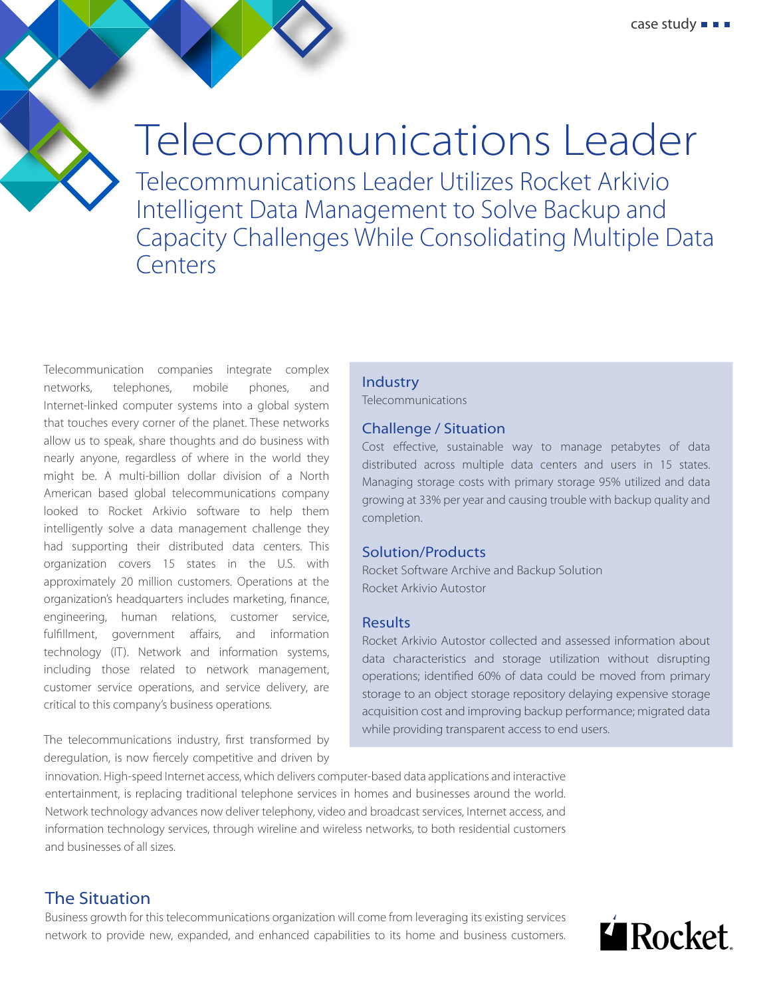# Telecommunications Leader

Telecommunications Leader Utilizes Rocket Arkivio Intelligent Data Management to Solve Backup and Capacity Challenges While Consolidating Multiple Data Centers

Telecommunication companies integrate complex networks, telephones, mobile phones, and Internet-linked computer systems into a global system that touches every corner of the planet. These networks allow us to speak, share thoughts and do business with nearly anyone, regardless of where in the world they might be. A multi-billion dollar division of a North American based global telecommunications company looked to Rocket Arkivio software to help them intelligently solve a data management challenge they had supporting their distributed data centers. This organization covers 15 states in the U.S. with approximately 20 million customers. Operations at the organization's headquarters includes marketing, finance, engineering, human relations, customer service, fulfillment, government affairs, and information technology (IT). Network and information systems, including those related to network management, customer service operations, and service delivery, are critical to this company's business operations.

The telecommunications industry, first transformed by deregulation, is now fiercely competitive and driven by

innovation. High-speed Internet access, which delivers computer-based data applications and interactive entertainment, is replacing traditional telephone services in homes and businesses around the world. Network technology advances now deliver telephony, video and broadcast services, Internet access, and information technology services, through wireline and wireless networks, to both residential customers and businesses of all sizes.

## The Situation

Business growth for this telecommunications organization will come from leveraging its existing services network to provide new, expanded, and enhanced capabilities to its home and business customers.

#### Industry

Telecommunications

#### Challenge / Situation

Cost effective, sustainable way to manage petabytes of data distributed across multiple data centers and users in 15 states. Managing storage costs with primary storage 95% utilized and data growing at 33% per year and causing trouble with backup quality and completion.

#### Solution/Products

Rocket Software Archive and Backup Solution Rocket Arkivio Autostor

#### Results

Rocket Arkivio Autostor collected and assessed information about data characteristics and storage utilization without disrupting operations; identified 60% of data could be moved from primary storage to an object storage repository delaying expensive storage acquisition cost and improving backup performance; migrated data while providing transparent access to end users.

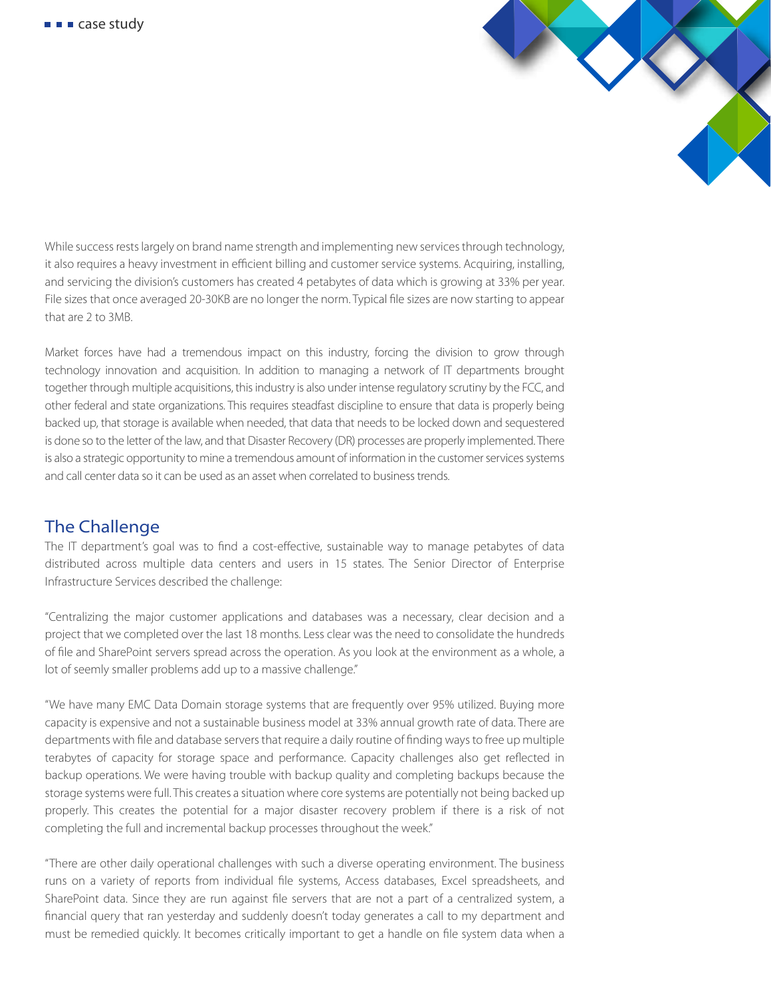

While success rests largely on brand name strength and implementing new services through technology, it also requires a heavy investment in efficient billing and customer service systems. Acquiring, installing, and servicing the division's customers has created 4 petabytes of data which is growing at 33% per year. File sizes that once averaged 20-30KB are no longer the norm. Typical file sizes are now starting to appear that are 2 to 3MB.

Market forces have had a tremendous impact on this industry, forcing the division to grow through technology innovation and acquisition. In addition to managing a network of IT departments brought together through multiple acquisitions, this industry is also under intense regulatory scrutiny by the FCC, and other federal and state organizations. This requires steadfast discipline to ensure that data is properly being backed up, that storage is available when needed, that data that needs to be locked down and sequestered is done so to the letter of the law, and that Disaster Recovery (DR) processes are properly implemented. There is also a strategic opportunity to mine a tremendous amount of information in the customer services systems and call center data so it can be used as an asset when correlated to business trends.

## The Challenge

The IT department's goal was to find a cost-effective, sustainable way to manage petabytes of data distributed across multiple data centers and users in 15 states. The Senior Director of Enterprise Infrastructure Services described the challenge:

"Centralizing the major customer applications and databases was a necessary, clear decision and a project that we completed over the last 18 months. Less clear was the need to consolidate the hundreds of file and SharePoint servers spread across the operation. As you look at the environment as a whole, a lot of seemly smaller problems add up to a massive challenge."

"We have many EMC Data Domain storage systems that are frequently over 95% utilized. Buying more capacity is expensive and not a sustainable business model at 33% annual growth rate of data. There are departments with file and database servers that require a daily routine of finding ways to free up multiple terabytes of capacity for storage space and performance. Capacity challenges also get reflected in backup operations. We were having trouble with backup quality and completing backups because the storage systems were full. This creates a situation where core systems are potentially not being backed up properly. This creates the potential for a major disaster recovery problem if there is a risk of not completing the full and incremental backup processes throughout the week."

"There are other daily operational challenges with such a diverse operating environment. The business runs on a variety of reports from individual file systems, Access databases, Excel spreadsheets, and SharePoint data. Since they are run against file servers that are not a part of a centralized system, a financial query that ran yesterday and suddenly doesn't today generates a call to my department and must be remedied quickly. It becomes critically important to get a handle on file system data when a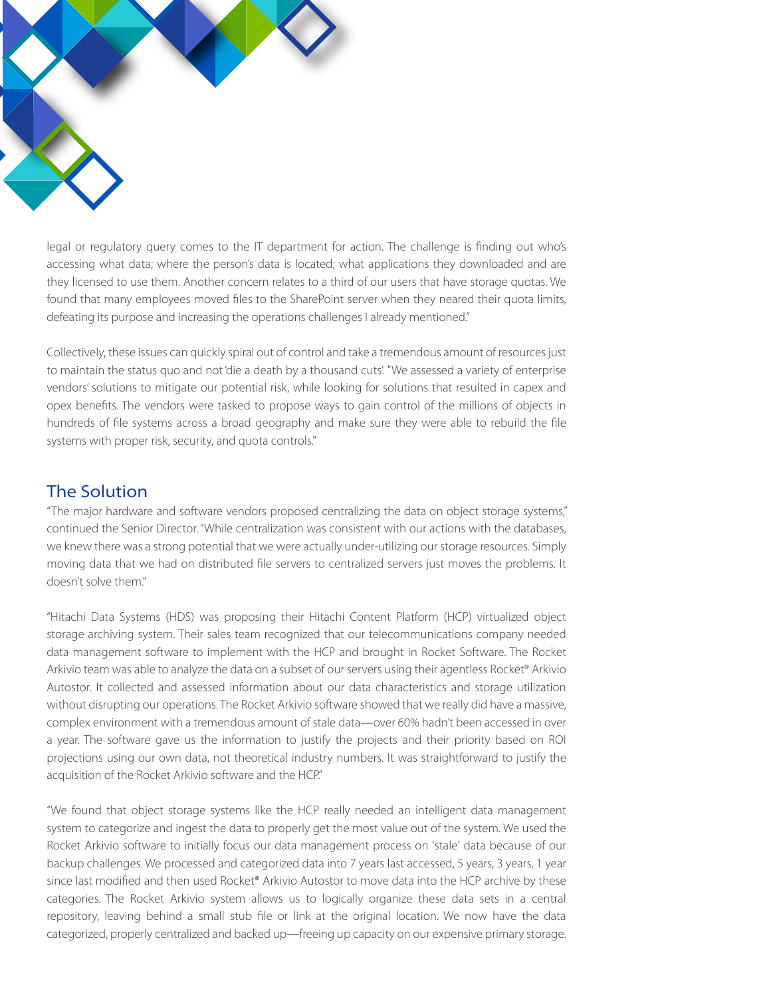

legal or regulatory query comes to the IT department for action. The challenge is finding out who's accessing what data; where the person's data is located; what applications they downloaded and are they licensed to use them. Another concern relates to a third of our users that have storage quotas. We found that many employees moved files to the SharePoint server when they neared their quota limits, defeating its purpose and increasing the operations challenges I already mentioned."

Collectively, these issues can quickly spiral out of control and take a tremendous amount of resources just to maintain the status quo and not 'die a death by a thousand cuts'. "We assessed a variety of enterprise vendors' solutions to mitigate our potential risk, while looking for solutions that resulted in capex and opex benefits. The vendors were tasked to propose ways to gain control of the millions of objects in hundreds of file systems across a broad geography and make sure they were able to rebuild the file systems with proper risk, security, and quota controls."

### The Solution

"The major hardware and software vendors proposed centralizing the data on object storage systems," continued the Senior Director. "While centralization was consistent with our actions with the databases, we knew there was a strong potential that we were actually under-utilizing our storage resources. Simply moving data that we had on distributed file servers to centralized servers just moves the problems. It doesn't solve them."

"Hitachi Data Systems (HDS) was proposing their Hitachi Content Platform (HCP) virtualized object storage archiving system. Their sales team recognized that our telecommunications company needed data management software to implement with the HCP and brought in Rocket Software. The Rocket Arkivio team was able to analyze the data on a subset of our servers using their agentless Rocket® Arkivio Autostor. It collected and assessed information about our data characteristics and storage utilization without disrupting our operations. The Rocket Arkivio software showed that we really did have a massive, complex environment with a tremendous amount of stale data—over 60% hadn't been accessed in over a year. The software gave us the information to justify the projects and their priority based on ROI projections using our own data, not theoretical industry numbers. It was straightforward to justify the acquisition of the Rocket Arkivio software and the HCP."

"We found that object storage systems like the HCP really needed an intelligent data management system to categorize and ingest the data to properly get the most value out of the system. We used the Rocket Arkivio software to initially focus our data management process on 'stale' data because of our backup challenges. We processed and categorized data into 7 years last accessed, 5 years, 3 years, 1 year since last modified and then used Rocket® Arkivio Autostor to move data into the HCP archive by these categories. The Rocket Arkivio system allows us to logically organize these data sets in a central repository, leaving behind a small stub file or link at the original location. We now have the data categorized, properly centralized and backed up—freeing up capacity on our expensive primary storage.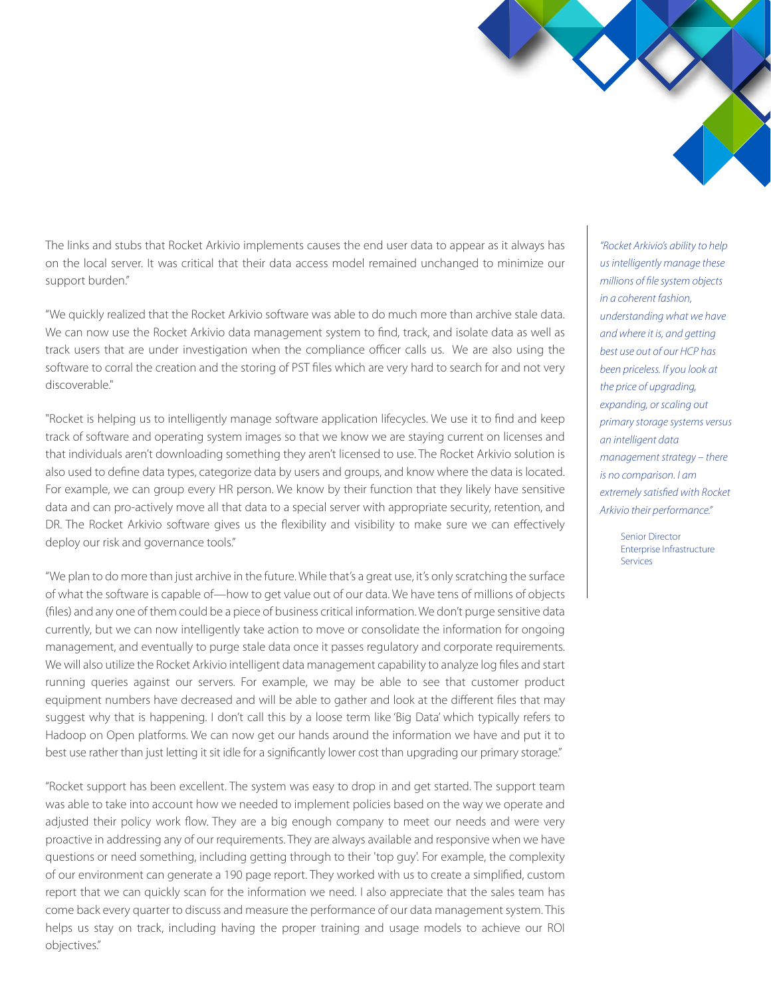The links and stubs that Rocket Arkivio implements causes the end user data to appear as it always has on the local server. It was critical that their data access model remained unchanged to minimize our support burden."

"We quickly realized that the Rocket Arkivio software was able to do much more than archive stale data. We can now use the Rocket Arkivio data management system to find, track, and isolate data as well as track users that are under investigation when the compliance officer calls us. We are also using the software to corral the creation and the storing of PST files which are very hard to search for and not very discoverable."

"Rocket is helping us to intelligently manage software application lifecycles. We use it to find and keep track of software and operating system images so that we know we are staying current on licenses and that individuals aren't downloading something they aren't licensed to use. The Rocket Arkivio solution is also used to define data types, categorize data by users and groups, and know where the data is located. For example, we can group every HR person. We know by their function that they likely have sensitive data and can pro-actively move all that data to a special server with appropriate security, retention, and DR. The Rocket Arkivio software gives us the flexibility and visibility to make sure we can effectively deploy our risk and governance tools."

"We plan to do more than just archive in the future. While that's a great use, it's only scratching the surface of what the software is capable of—how to get value out of our data. We have tens of millions of objects (files) and any one of them could be a piece of business critical information. We don't purge sensitive data currently, but we can now intelligently take action to move or consolidate the information for ongoing management, and eventually to purge stale data once it passes regulatory and corporate requirements. We will also utilize the Rocket Arkivio intelligent data management capability to analyze log files and start running queries against our servers. For example, we may be able to see that customer product equipment numbers have decreased and will be able to gather and look at the different files that may suggest why that is happening. I don't call this by a loose term like 'Big Data' which typically refers to Hadoop on Open platforms. We can now get our hands around the information we have and put it to best use rather than just letting it sit idle for a significantly lower cost than upgrading our primary storage."

"Rocket support has been excellent. The system was easy to drop in and get started. The support team was able to take into account how we needed to implement policies based on the way we operate and adjusted their policy work flow. They are a big enough company to meet our needs and were very proactive in addressing any of our requirements. They are always available and responsive when we have questions or need something, including getting through to their 'top guy'. For example, the complexity of our environment can generate a 190 page report. They worked with us to create a simplied, custom report that we can quickly scan for the information we need. I also appreciate that the sales team has come back every quarter to discuss and measure the performance of our data management system. This helps us stay on track, including having the proper training and usage models to achieve our ROI objectives."

*"Rocket Arkivio's ability to help us intelligently manage these millions of le system objects in a coherent fashion, understanding what we have and where it is, and getting best use out of our HCP has been priceless. If you look at the price of upgrading, expanding, or scaling out primary storage systems versus an intelligent data management strategy – there is no comparison. I am*   $extremely satisfied with Rocket$ *Arkivio their performance."* 

> Senior Director Enterprise Infrastructure Services